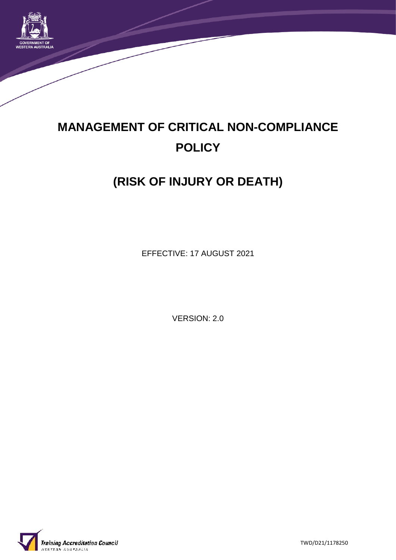

# **MANAGEMENT OF CRITICAL NON-COMPLIANCE POLICY**

## **(RISK OF INJURY OR DEATH)**

EFFECTIVE: 17 AUGUST 2021

VERSION: 2.0



TWD/D21/1178250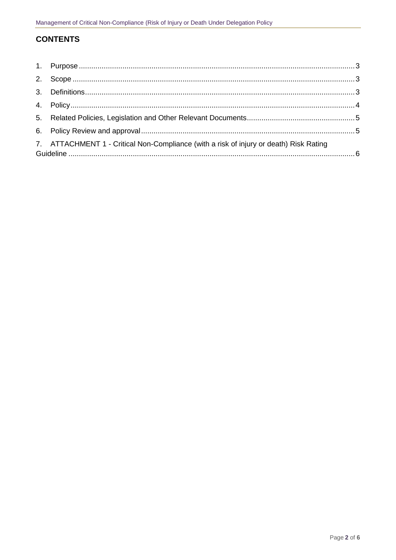### **CONTENTS**

| 7. ATTACHMENT 1 - Critical Non-Compliance (with a risk of injury or death) Risk Rating |  |
|----------------------------------------------------------------------------------------|--|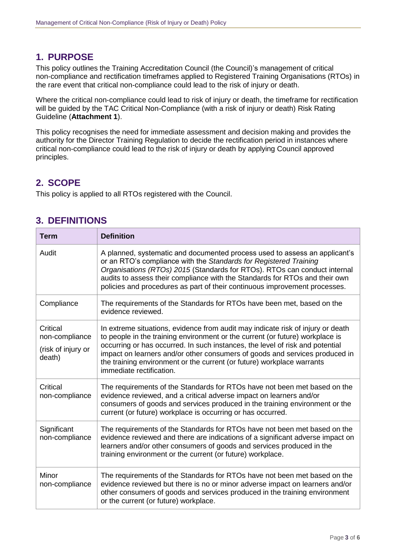## **1. PURPOSE**

This policy outlines the Training Accreditation Council (the Council)'s management of critical non-compliance and rectification timeframes applied to Registered Training Organisations (RTOs) in the rare event that critical non-compliance could lead to the risk of injury or death.

Where the critical non-compliance could lead to risk of injury or death, the timeframe for rectification will be guided by the TAC Critical Non-Compliance (with a risk of injury or death) Risk Rating Guideline (**Attachment 1**).

This policy recognises the need for immediate assessment and decision making and provides the authority for the Director Training Regulation to decide the rectification period in instances where critical non-compliance could lead to the risk of injury or death by applying Council approved principles.

## **2. SCOPE**

This policy is applied to all RTOs registered with the Council.

## **3. DEFINITIONS**

| <b>Term</b>                                                | <b>Definition</b>                                                                                                                                                                                                                                                                                                                                                                                                                      |
|------------------------------------------------------------|----------------------------------------------------------------------------------------------------------------------------------------------------------------------------------------------------------------------------------------------------------------------------------------------------------------------------------------------------------------------------------------------------------------------------------------|
| Audit                                                      | A planned, systematic and documented process used to assess an applicant's<br>or an RTO's compliance with the Standards for Registered Training<br>Organisations (RTOs) 2015 (Standards for RTOs). RTOs can conduct internal<br>audits to assess their compliance with the Standards for RTOs and their own<br>policies and procedures as part of their continuous improvement processes.                                              |
| Compliance                                                 | The requirements of the Standards for RTOs have been met, based on the<br>evidence reviewed.                                                                                                                                                                                                                                                                                                                                           |
| Critical<br>non-compliance<br>(risk of injury or<br>death) | In extreme situations, evidence from audit may indicate risk of injury or death<br>to people in the training environment or the current (or future) workplace is<br>occurring or has occurred. In such instances, the level of risk and potential<br>impact on learners and/or other consumers of goods and services produced in<br>the training environment or the current (or future) workplace warrants<br>immediate rectification. |
| <b>Critical</b><br>non-compliance                          | The requirements of the Standards for RTOs have not been met based on the<br>evidence reviewed, and a critical adverse impact on learners and/or<br>consumers of goods and services produced in the training environment or the<br>current (or future) workplace is occurring or has occurred.                                                                                                                                         |
| Significant<br>non-compliance                              | The requirements of the Standards for RTOs have not been met based on the<br>evidence reviewed and there are indications of a significant adverse impact on<br>learners and/or other consumers of goods and services produced in the<br>training environment or the current (or future) workplace.                                                                                                                                     |
| Minor<br>non-compliance                                    | The requirements of the Standards for RTOs have not been met based on the<br>evidence reviewed but there is no or minor adverse impact on learners and/or<br>other consumers of goods and services produced in the training environment<br>or the current (or future) workplace.                                                                                                                                                       |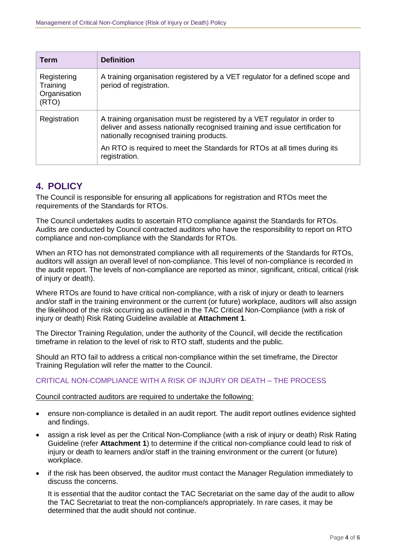| <b>Term</b>                                      | <b>Definition</b>                                                                                                                                                                                      |
|--------------------------------------------------|--------------------------------------------------------------------------------------------------------------------------------------------------------------------------------------------------------|
| Registering<br>Training<br>Organisation<br>(RTO) | A training organisation registered by a VET regulator for a defined scope and<br>period of registration.                                                                                               |
| Registration                                     | A training organisation must be registered by a VET regulator in order to<br>deliver and assess nationally recognised training and issue certification for<br>nationally recognised training products. |
|                                                  | An RTO is required to meet the Standards for RTOs at all times during its<br>registration.                                                                                                             |

## **4. POLICY**

The Council is responsible for ensuring all applications for registration and RTOs meet the requirements of the Standards for RTOs.

The Council undertakes audits to ascertain RTO compliance against the Standards for RTOs. Audits are conducted by Council contracted auditors who have the responsibility to report on RTO compliance and non-compliance with the Standards for RTOs.

When an RTO has not demonstrated compliance with all requirements of the Standards for RTOs, auditors will assign an overall level of non-compliance. This level of non-compliance is recorded in the audit report. The levels of non-compliance are reported as minor, significant, critical, critical (risk of injury or death).

Where RTOs are found to have critical non-compliance, with a risk of injury or death to learners and/or staff in the training environment or the current (or future) workplace, auditors will also assign the likelihood of the risk occurring as outlined in the TAC Critical Non-Compliance (with a risk of injury or death) Risk Rating Guideline available at **Attachment 1**.

The Director Training Regulation, under the authority of the Council, will decide the rectification timeframe in relation to the level of risk to RTO staff, students and the public.

Should an RTO fail to address a critical non-compliance within the set timeframe, the Director Training Regulation will refer the matter to the Council.

#### CRITICAL NON-COMPLIANCE WITH A RISK OF INJURY OR DEATH – THE PROCESS

#### Council contracted auditors are required to undertake the following:

- ensure non-compliance is detailed in an audit report. The audit report outlines evidence sighted and findings.
- assign a risk level as per the Critical Non-Compliance (with a risk of injury or death) Risk Rating Guideline (refer **Attachment 1**) to determine if the critical non-compliance could lead to risk of injury or death to learners and/or staff in the training environment or the current (or future) workplace.
- if the risk has been observed, the auditor must contact the Manager Regulation immediately to discuss the concerns.

It is essential that the auditor contact the TAC Secretariat on the same day of the audit to allow the TAC Secretariat to treat the non-compliance/s appropriately. In rare cases, it may be determined that the audit should not continue.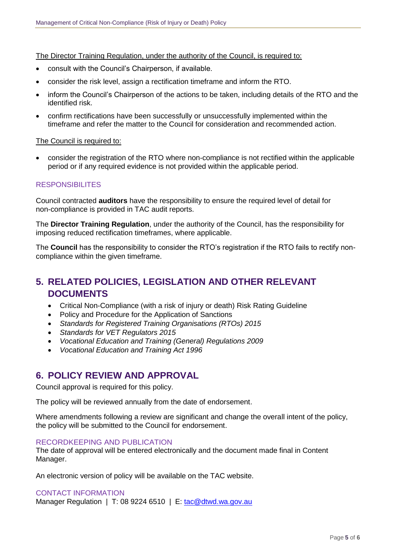The Director Training Regulation, under the authority of the Council, is required to:

- consult with the Council's Chairperson, if available.
- consider the risk level, assign a rectification timeframe and inform the RTO.
- inform the Council's Chairperson of the actions to be taken, including details of the RTO and the identified risk.
- confirm rectifications have been successfully or unsuccessfully implemented within the timeframe and refer the matter to the Council for consideration and recommended action.

#### The Council is required to:

 consider the registration of the RTO where non-compliance is not rectified within the applicable period or if any required evidence is not provided within the applicable period.

#### **RESPONSIBILITES**

Council contracted **auditors** have the responsibility to ensure the required level of detail for non-compliance is provided in TAC audit reports.

The **Director Training Regulation**, under the authority of the Council, has the responsibility for imposing reduced rectification timeframes, where applicable.

The **Council** has the responsibility to consider the RTO's registration if the RTO fails to rectify noncompliance within the given timeframe.

## **5. RELATED POLICIES, LEGISLATION AND OTHER RELEVANT DOCUMENTS**

- Critical Non-Compliance (with a risk of injury or death) Risk Rating Guideline
- Policy and Procedure for the Application of Sanctions
- *Standards for Registered Training Organisations (RTOs) 2015*
- *Standards for VET Regulators 2015*
- *Vocational Education and Training (General) Regulations 2009*
- *Vocational Education and Training Act 1996*

## **6. POLICY REVIEW AND APPROVAL**

Council approval is required for this policy.

The policy will be reviewed annually from the date of endorsement.

Where amendments following a review are significant and change the overall intent of the policy, the policy will be submitted to the Council for endorsement.

#### RECORDKEEPING AND PUBLICATION

The date of approval will be entered electronically and the document made final in Content Manager.

An electronic version of policy will be available on the TAC website.

#### CONTACT INFORMATION

Manager Regulation | T: 08 9224 6510 | E: [tac@dtwd.wa.gov.au](mailto:tac@dtwd.wa.gov.au)